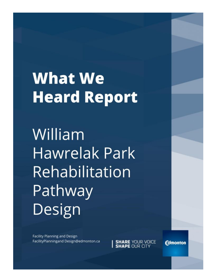# **What We Heard Report**

William **Hawrelak Park** Rehabilitation Pathway Design

**Facility Planning and Design** FacilityPlanningand Design@edmonton.ca

**SHARE YOUR VOICE**<br>**SHAPE OUR CITY** 

**Edmonton**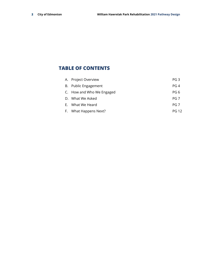# **TABLE OF CONTENTS**

| A. Project Overview       | PG 3            |
|---------------------------|-----------------|
| B. Public Engagement      | <b>PG 4</b>     |
| C. How and Who We Engaged | PG 6            |
| D. What We Asked          | PG <sub>7</sub> |
| E. What We Heard          | <b>PG 7</b>     |
| F. What Happens Next?     | PG 12           |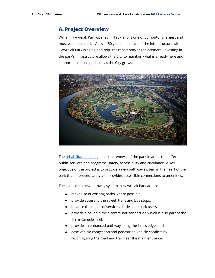# **A. Project Overview**

William Hawrelak Park opened in 1967 and is one of Edmonton's largest and most well-used parks. At over 50 years old, much of the infrastructure within Hawrelak Park is aging and requires repair and/or replacement. Investing in the park's infrastructure allows the City to maintain what is already here and support increased park use as the City grows.



The [rehabilitation](https://www.edmonton.ca/projects_plans/parks_recreation/hawrelak-park-rehabilitation-project.aspx) plan guides the renewal of the park in areas that affect public services and programs, safety, accessibility and circulation. A key objective of the project is to provide a new pathway system in the heart of the park that improves safety and provides accessible connections to amenities.

The goals for a new pathway system in Hawrelak Park are to:

- make use of existing paths where possible;
- provide access to the street, trails and bus stops;
- balance the needs of service vehicles and park users;
- provide a paved bicycle commuter connection which is also part of the Trans-Canada Trail;
- provide an enhanced pathway along the lake's edge; and
- ease vehicle congestion and pedestrian-vehicle conflicts by reconfiguring the road and trail near the main entrance.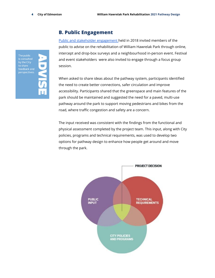# **B. Public Engagement**

Public and stakeholder [engagement](https://www.edmonton.ca/documents/PDF/William_Hawrelak_Park_Rehabilitation_Plan_Reporting_Back_October_2018.pdf) held in 2018 invited members of the public to advise on the rehabilitation of William Hawrelak Park through online, intercept and drop-box surveys and a neighbourhood in-person event. Festival and event stakeholders were also invited to engage through a focus group session.

When asked to share ideas about the pathway system, participants identified the need to create better connections, safer circulation and improve accessibility. Participants shared that the greenspace and main features of the park should be maintained and suggested the need for a paved, multi-use pathway around the park to support moving pedestrians and bikes from the road, where traffic congestion and safety are a concern.

The input received was consistent with the findings from the functional and physical assessment completed by the project team. This input, along with City policies, programs and technical requirements, was used to develop two options for pathway design to enhance how people get around and move through the park.



by the City perspectives.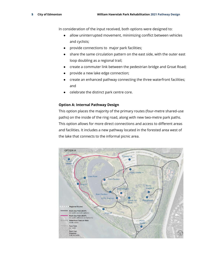In consideration of the input received, both options were designed to:

- allow uninterrupted movement, minimizing conflict between vehicles and cyclists;
- provide connections to major park facilities;
- share the same circulation pattern on the east side, with the outer east loop doubling as a regional trail;
- create a commuter link between the pedestrian bridge and Groat Road;
- provide a new lake edge connection;
- create an enhanced pathway connecting the three waterfront facilities; and
- celebrate the distinct park centre core.

## **Option A: Internal Pathway Design**

This option places the majority of the primary routes (four-metre shared-use paths) on the inside of the ring road, along with new two-metre park paths. This option allows for more direct connections and access to different areas and facilities. It includes a new pathway located in the forested area west of the lake that connects to the informal picnic area.

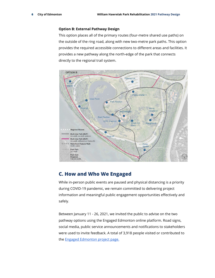## **Option B: External Pathway Design**

This option places all of the primary routes (four-metre shared use paths) on the outside of the ring road, along with new two-metre park paths. This option provides the required accessible connections to different areas and facilities. It provides a new pathway along the north-edge of the park that connects directly to the regional trail system.



# **C. How and Who We Engaged**

While in-person public events are paused and physical distancing is a priority during COVID-19 pandemic, we remain committed to delivering project information and meaningful public engagement opportunities effectively and safely.

Between January 11 - 26, 2021, we invited the public to advise on the two pathway options using the Engaged Edmonton online platform. Road signs, social media, public service announcements and notifications to stakeholders were used to invite feedback. A total of 3,918 people visited or contributed to the **Engaged [Edmonton](https://engaged.edmonton.ca/hawrelakpark) project page.**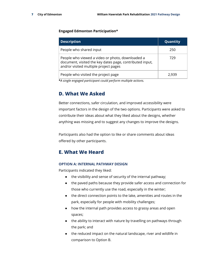## **Engaged Edmonton Participation\***

| <b>Description</b>                                                                                                                                    | Quantity |
|-------------------------------------------------------------------------------------------------------------------------------------------------------|----------|
| People who shared input                                                                                                                               | 250      |
| People who viewed a video or photo, downloaded a<br>document, visited the key dates page, contributed input,<br>and/or visited multiple project pages | 729      |
| People who visited the project page                                                                                                                   | 2.939    |

**\****A single engaged participant could perform multiple actions.*

# **D. What We Asked**

Better connections, safer circulation, and improved accessibility were important factors in the design of the two options. Participants were asked to contribute their ideas about what they liked about the designs, whether anything was missing and to suggest any changes to improve the designs.

Participants also had the option to like or share comments about ideas offered by other participants.

# **E. What We Heard**

## **OPTION A: INTERNAL PATHWAY DESIGN**

Participants indicated they liked:

- the visibility and sense of security of the internal pathway;
- the paved paths because they provide safer access and connection for those who currently use the road, especially in the winter;
- the direct connection points to the lake, amenities and routes in the park, especially for people with mobility challenges;
- how the internal path provides access to grassy areas and open spaces;
- the ability to interact with nature by travelling on pathways through the park; and
- the reduced impact on the natural landscape, river and wildlife in comparison to Option B.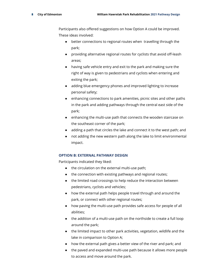Participants also offered suggestions on how Option A could be improved. These ideas involved:

- better connections to regional routes when travelling through the park;
- providing alternative regional routes for cyclists that avoid off-leash areas;
- having safe vehicle entry and exit to the park and making sure the right of way is given to pedestrians and cyclists when entering and exiting the park;
- adding blue emergency phones and improved lighting to increase personal safety;
- enhancing connections to park amenities, picnic sites and other paths in the park and adding pathways through the central east side of the park;
- enhancing the multi-use path that connects the wooden staircase on the southeast corner of the park;
- adding a path that circles the lake and connect it to the west path; and
- not adding the new western path along the lake to limit environmental impact.

# **OPTION B: EXTERNAL PATHWAY DESIGN**

Participants indicated they liked:

- the circulation on the external multi-use path;
- the connection with existing pathways and regional routes;
- the limited road crossings to help reduce the interaction between pedestrians, cyclists and vehicles;
- how the external path helps people travel through and around the park, or connect with other regional routes;
- how paving the multi-use path provides safe access for people of all abilities;
- the addition of a multi-use path on the northside to create a full loop around the park;
- the limited impact to other park activities, vegetation, wildlife and the lake in comparison to Option A;
- how the external path gives a better view of the river and park; and
- the paved and expanded multi-use path because it allows more people to access and move around the park.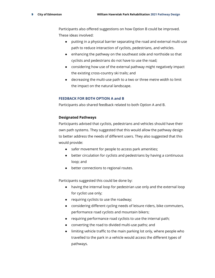Participants also offered suggestions on how Option B could be improved. These ideas involved:

- putting in a physical barrier separating the road and external multi-use path to reduce interaction of cyclists, pedestrians, and vehicles.
- enhancing the pathway on the southeast side and northside so that cyclists and pedestrians do not have to use the road;
- considering how use of the external pathway might negatively impact the existing cross-country ski trails; and
- decreasing the multi-use path to a two or three metre width to limit the impact on the natural landscape.

## **FEEDBACK FOR BOTH OPTION A and B**

Participants also shared feedback related to both Option A and B.

## **Designated Pathways**

Participants advised that cyclists, pedestrians and vehicles should have their own path systems. They suggested that this would allow the pathway design to better address the needs of different users. They also suggested that this would provide:

- safer movement for people to access park amenities;
- better circulation for cyclists and pedestrians by having a continuous loop; and
- better connections to regional routes.

Participants suggested this could be done by:

- having the internal loop for pedestrian use only and the external loop for cyclist use only;
- requiring cyclists to use the roadway;
- considering different cycling needs of leisure riders, bike commuters, performance road cyclists and mountain bikers;
- requiring performance road cyclists to use the internal path;
- converting the road to divided multi-use paths; and
- limiting vehicle traffic to the main parking lot only, where people who travelled to the park in a vehicle would access the different types of pathways.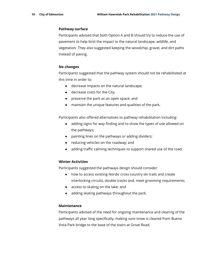#### **Pathway surface**

Participants advised that both Option A and B should try to reduce the use of pavement to help limit the impact to the natural landscape, wildlife, and vegetation. They also suggested keeping the woodchip, gravel, and dirt paths instead of paving.

#### **No changes**

Participants suggested that the pathway system should not be rehabilitated at this time in order to:

- decrease impacts on the natural landscape;
- decrease costs for the City;
- preserve the park as an open space; and
- maintain the unique features and qualities of the park.

Participants also offered alternatives to pathway rehabilitation including:

- adding signs for way finding and to show the types of use allowed on the pathways;
- painting lines on the pathways or adding dividers;
- reducing vehicles on the roadway; and
- adding traffic calming techniques to support shared use of the road.

#### **Winter Activities**

Participants suggested the pathways design should consider:

- how to access existing Nordic cross-country ski trails and create interlocking circuits, double tracks and, meet grooming requirements;
- access to skating on the lake; and
- adding skating pathways throughout the park.

## **Maintenance**

Participants advised of the need for ongoing maintenance and clearing of the pathways all year long specifically, making sure snow is cleared from Buena Vista Park bridge to the base of the stairs at Groat Road.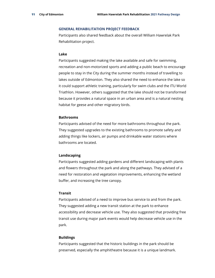#### **GENERAL REHABILITATION PROJECT FEEDBACK**

Participants also shared feedback about the overall William Hawrelak Park Rehabilitation project.

#### **Lake**

Participants suggested making the lake available and safe for swimming, recreation and non-motorized sports and adding a public beach to encourage people to stay in the City during the summer months instead of travelling to lakes outside of Edmonton. They also shared the need to enhance the lake so it could support athletic training, particularly for swim clubs and the ITU World Triathlon. However, others suggested that the lake should not be transformed because it provides a natural space in an urban area and is a natural nesting habitat for geese and other migratory birds.

#### **Bathrooms**

Participants advised of the need for more bathrooms throughout the park. They suggested upgrades to the existing bathrooms to promote safety and adding things like lockers, air pumps and drinkable water stations where bathrooms are located.

#### **Landscaping**

Participants suggested adding gardens and different landscaping with plants and flowers throughout the park and along the pathways. They advised of a need for restoration and vegetation improvements, enhancing the wetland buffer, and increasing the tree canopy.

#### **Transit**

Participants advised of a need to improve bus service to and from the park. They suggested adding a new transit station at the park to enhance accessibility and decrease vehicle use. They also suggested that providing free transit use during major park events would help decrease vehicle use in the park.

#### **Buildings**

Participants suggested that the historic buildings in the park should be preserved, especially the amphitheatre because it is a unique landmark.